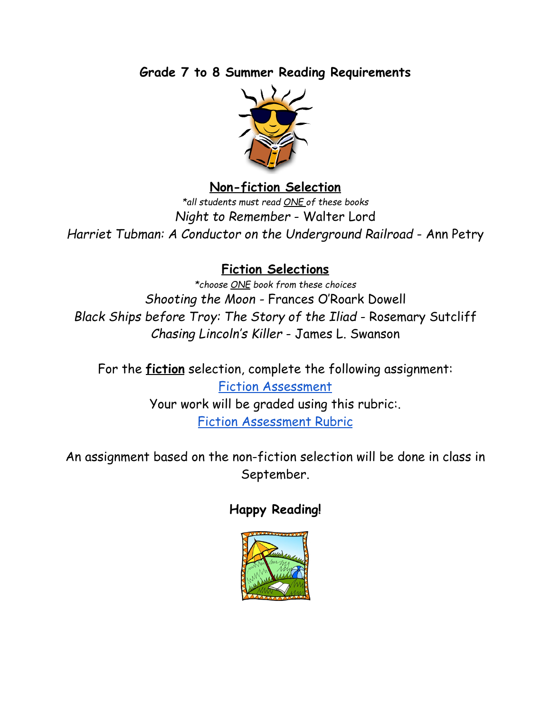**Grade 7 to 8 Summer Reading Requirements**



### **Non-fiction Selection**

*\*all students must read ONE of these books Night to Remember* - Walter Lord *Harriet Tubman: A Conductor on the Underground Railroad* - Ann Petry

# **Fiction Selections**

*\*choose ONE book from these choices Shooting the Moon -* Frances O'Roark Dowell *Black Ships before Troy: The Story of the Iliad* - Rosemary Sutcliff *Chasing Lincoln's Killer* - James L. Swanson

For the **fiction** selection, complete the following assignment: Fiction [Assessment](https://docs.google.com/a/holyfamilyaston.org/document/d/1ElYFOGhdEYxv3serEDQOnLDbiVew_5vL4IFL9rUQOCs/edit) Your work will be graded using this rubric:. Fiction [Assessment](https://docs.google.com/a/holyfamilyaston.org/document/d/1c9FJ0DtuWmIPtXwWcxBntj1zravUOe4RTqZKSSutm7Q/edit#heading=h.vxfk0fg0yrwl) Rubric

An assignment based on the non-fiction selection will be done in class in September.

# **Happy Reading!**

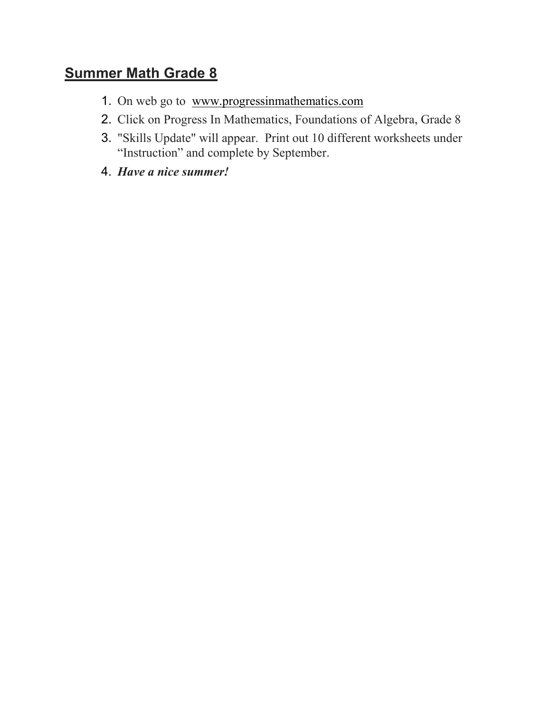### Summer Math Grade 8

- 1. On web go to www.progressinmathematics.com
- 2. Click on Progress In Mathematics, Foundations of Algebra, Grade 8
- 3. "Skills Update" will appear. Print out 10 different worksheets under "Instruction" and complete by September.
- 4. Have a nice summer!